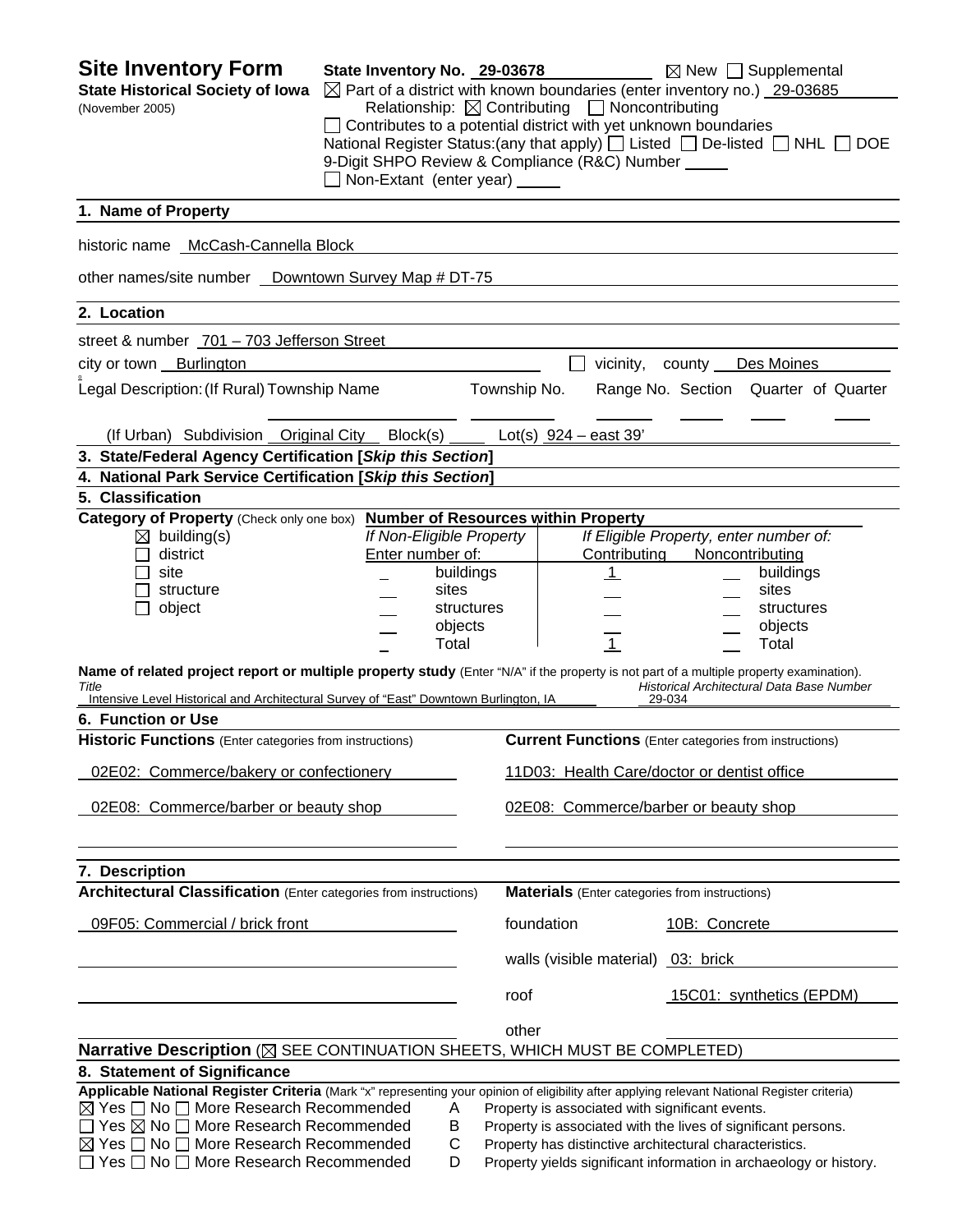| <b>Site Inventory Form</b><br><b>State Historical Society of Iowa</b><br>(November 2005)                                                                                                                                                                                                                                                                                                        | State Inventory No. 29-03678<br>⊠ Part of a district with known boundaries (enter inventory no.) 29-03685<br>Relationship: $\boxtimes$ Contributing $\Box$ Noncontributing<br>$\Box$ Contributes to a potential district with yet unknown boundaries<br>National Register Status: (any that apply) $\Box$ Listed $\Box$ De-listed $\Box$ NHL $\Box$ DOE<br>9-Digit SHPO Review & Compliance (R&C) Number<br>□ Non-Extant (enter year) _____ |              |                                                                                                                                                                             |                                                  | $\boxtimes$ New $\Box$ Supplemental                                                                                  |
|-------------------------------------------------------------------------------------------------------------------------------------------------------------------------------------------------------------------------------------------------------------------------------------------------------------------------------------------------------------------------------------------------|---------------------------------------------------------------------------------------------------------------------------------------------------------------------------------------------------------------------------------------------------------------------------------------------------------------------------------------------------------------------------------------------------------------------------------------------|--------------|-----------------------------------------------------------------------------------------------------------------------------------------------------------------------------|--------------------------------------------------|----------------------------------------------------------------------------------------------------------------------|
| 1. Name of Property                                                                                                                                                                                                                                                                                                                                                                             |                                                                                                                                                                                                                                                                                                                                                                                                                                             |              |                                                                                                                                                                             |                                                  |                                                                                                                      |
| historic name McCash-Cannella Block                                                                                                                                                                                                                                                                                                                                                             |                                                                                                                                                                                                                                                                                                                                                                                                                                             |              |                                                                                                                                                                             |                                                  |                                                                                                                      |
|                                                                                                                                                                                                                                                                                                                                                                                                 |                                                                                                                                                                                                                                                                                                                                                                                                                                             |              |                                                                                                                                                                             |                                                  |                                                                                                                      |
| other names/site number _ Downtown Survey Map # DT-75                                                                                                                                                                                                                                                                                                                                           |                                                                                                                                                                                                                                                                                                                                                                                                                                             |              |                                                                                                                                                                             |                                                  |                                                                                                                      |
| 2. Location                                                                                                                                                                                                                                                                                                                                                                                     |                                                                                                                                                                                                                                                                                                                                                                                                                                             |              |                                                                                                                                                                             |                                                  |                                                                                                                      |
| street & number 701 - 703 Jefferson Street                                                                                                                                                                                                                                                                                                                                                      |                                                                                                                                                                                                                                                                                                                                                                                                                                             |              |                                                                                                                                                                             |                                                  |                                                                                                                      |
| city or town Burlington                                                                                                                                                                                                                                                                                                                                                                         |                                                                                                                                                                                                                                                                                                                                                                                                                                             |              |                                                                                                                                                                             | vicinity, county                                 | Des Moines                                                                                                           |
| Legal Description: (If Rural) Township Name                                                                                                                                                                                                                                                                                                                                                     |                                                                                                                                                                                                                                                                                                                                                                                                                                             | Township No. |                                                                                                                                                                             |                                                  | Range No. Section Quarter of Quarter                                                                                 |
| (If Urban) Subdivision Original City                                                                                                                                                                                                                                                                                                                                                            | Block(s)                                                                                                                                                                                                                                                                                                                                                                                                                                    |              | Lot(s) $924 - east 39'$                                                                                                                                                     |                                                  |                                                                                                                      |
| 3. State/Federal Agency Certification [Skip this Section]                                                                                                                                                                                                                                                                                                                                       |                                                                                                                                                                                                                                                                                                                                                                                                                                             |              |                                                                                                                                                                             |                                                  |                                                                                                                      |
| 4. National Park Service Certification [Skip this Section]                                                                                                                                                                                                                                                                                                                                      |                                                                                                                                                                                                                                                                                                                                                                                                                                             |              |                                                                                                                                                                             |                                                  |                                                                                                                      |
| 5. Classification                                                                                                                                                                                                                                                                                                                                                                               | <b>Number of Resources within Property</b>                                                                                                                                                                                                                                                                                                                                                                                                  |              |                                                                                                                                                                             |                                                  |                                                                                                                      |
| Category of Property (Check only one box)<br>$\boxtimes$ building(s)<br>district<br>site<br>structure<br>object<br>Name of related project report or multiple property study (Enter "N/A" if the property is not part of a multiple property examination).<br>Title<br>Intensive Level Historical and Architectural Survey of "East" Downtown Burlington, IA                                    | If Non-Eligible Property<br>Enter number of:<br>buildings<br>sites<br>structures<br>objects<br>Total                                                                                                                                                                                                                                                                                                                                        |              | Contributing<br>$\mathbf{1}$<br>$\mathbf{1}$                                                                                                                                | If Eligible Property, enter number of:<br>29-034 | Noncontributing<br>buildings<br>sites<br>structures<br>objects<br>Total<br>Historical Architectural Data Base Number |
| 6. Function or Use                                                                                                                                                                                                                                                                                                                                                                              |                                                                                                                                                                                                                                                                                                                                                                                                                                             |              |                                                                                                                                                                             |                                                  |                                                                                                                      |
| <b>Historic Functions</b> (Enter categories from instructions)                                                                                                                                                                                                                                                                                                                                  |                                                                                                                                                                                                                                                                                                                                                                                                                                             |              | <b>Current Functions</b> (Enter categories from instructions)                                                                                                               |                                                  |                                                                                                                      |
| 02E02: Commerce/bakery or confectionery                                                                                                                                                                                                                                                                                                                                                         |                                                                                                                                                                                                                                                                                                                                                                                                                                             |              | 11D03: Health Care/doctor or dentist office                                                                                                                                 |                                                  |                                                                                                                      |
| 02E08: Commerce/barber or beauty shop                                                                                                                                                                                                                                                                                                                                                           |                                                                                                                                                                                                                                                                                                                                                                                                                                             |              | 02E08: Commerce/barber or beauty shop                                                                                                                                       |                                                  |                                                                                                                      |
| 7. Description                                                                                                                                                                                                                                                                                                                                                                                  |                                                                                                                                                                                                                                                                                                                                                                                                                                             |              |                                                                                                                                                                             |                                                  |                                                                                                                      |
| <b>Architectural Classification</b> (Enter categories from instructions)                                                                                                                                                                                                                                                                                                                        |                                                                                                                                                                                                                                                                                                                                                                                                                                             |              | <b>Materials</b> (Enter categories from instructions)                                                                                                                       |                                                  |                                                                                                                      |
| 09F05: Commercial / brick front                                                                                                                                                                                                                                                                                                                                                                 |                                                                                                                                                                                                                                                                                                                                                                                                                                             |              | foundation                                                                                                                                                                  | 10B: Concrete                                    |                                                                                                                      |
|                                                                                                                                                                                                                                                                                                                                                                                                 |                                                                                                                                                                                                                                                                                                                                                                                                                                             |              | walls (visible material) 03: brick                                                                                                                                          |                                                  |                                                                                                                      |
|                                                                                                                                                                                                                                                                                                                                                                                                 |                                                                                                                                                                                                                                                                                                                                                                                                                                             | roof         |                                                                                                                                                                             |                                                  | 15C01: synthetics (EPDM)                                                                                             |
|                                                                                                                                                                                                                                                                                                                                                                                                 |                                                                                                                                                                                                                                                                                                                                                                                                                                             | other        |                                                                                                                                                                             |                                                  |                                                                                                                      |
| Narrative Description (X SEE CONTINUATION SHEETS, WHICH MUST BE COMPLETED)                                                                                                                                                                                                                                                                                                                      |                                                                                                                                                                                                                                                                                                                                                                                                                                             |              |                                                                                                                                                                             |                                                  |                                                                                                                      |
| 8. Statement of Significance                                                                                                                                                                                                                                                                                                                                                                    |                                                                                                                                                                                                                                                                                                                                                                                                                                             |              |                                                                                                                                                                             |                                                  |                                                                                                                      |
| Applicable National Register Criteria (Mark "x" representing your opinion of eligibility after applying relevant National Register criteria)<br>$\boxtimes$ Yes $\Box$ No $\Box$ More Research Recommended<br>$\Box$ Yes $\boxtimes$ No $\Box$ More Research Recommended<br>$\boxtimes$ Yes $\Box$ No $\Box$ More Research Recommended<br>$\Box$ Yes $\Box$ No $\Box$ More Research Recommended | A<br>B<br>C<br>D                                                                                                                                                                                                                                                                                                                                                                                                                            |              | Property is associated with significant events.<br>Property is associated with the lives of significant persons.<br>Property has distinctive architectural characteristics. |                                                  | Property yields significant information in archaeology or history.                                                   |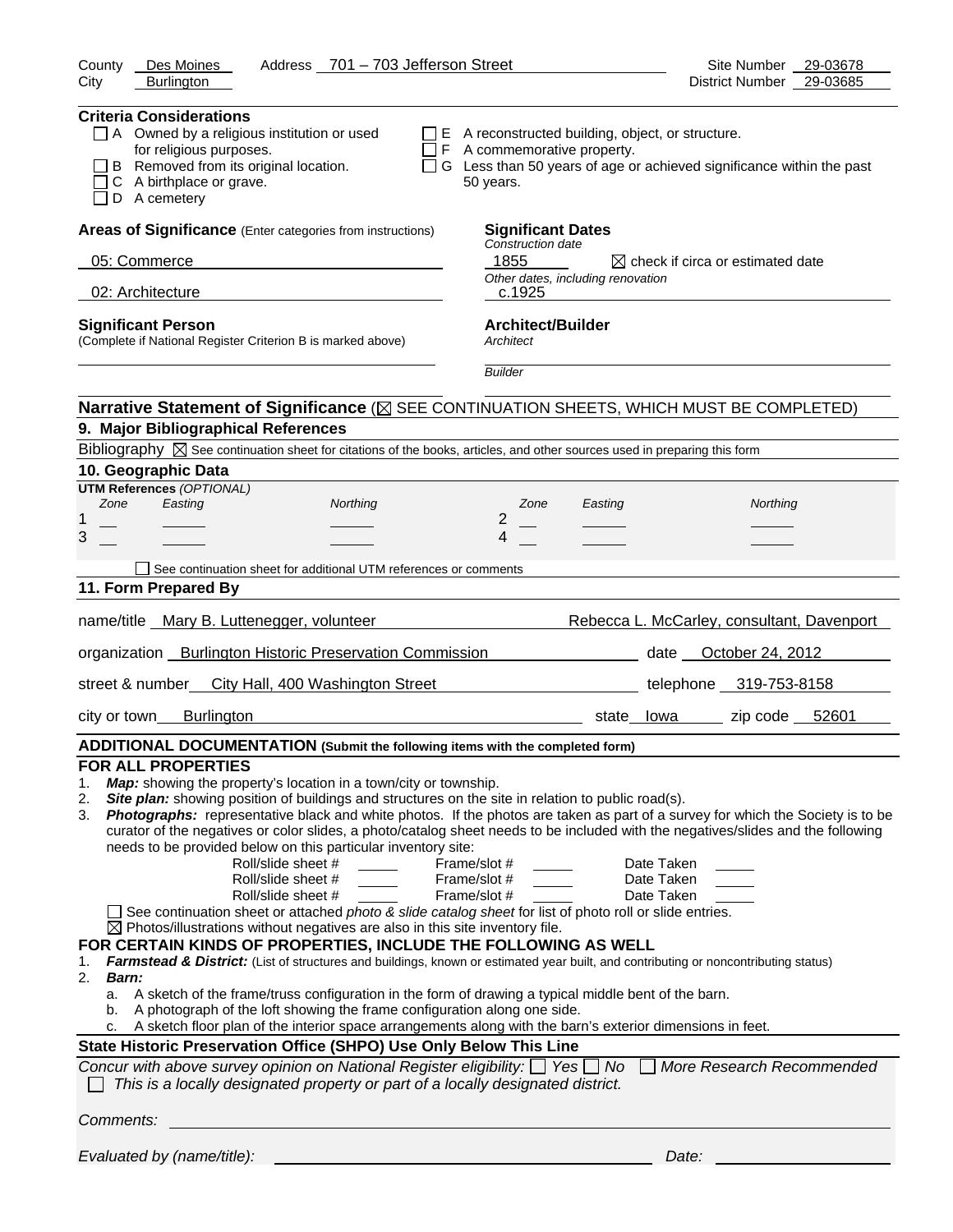| Address 701 - 703 Jefferson Street<br>County<br>Des Moines                                                                                                                                                                                                                                                                                                                                                                                                                                                                                                                                                                                                                                                                                                                                                                                                                                                                                                                                                                                                                                                                                                                                                                                                                                                                                                                                                                                                                                                  | Site Number<br>29-03678                                                |
|-------------------------------------------------------------------------------------------------------------------------------------------------------------------------------------------------------------------------------------------------------------------------------------------------------------------------------------------------------------------------------------------------------------------------------------------------------------------------------------------------------------------------------------------------------------------------------------------------------------------------------------------------------------------------------------------------------------------------------------------------------------------------------------------------------------------------------------------------------------------------------------------------------------------------------------------------------------------------------------------------------------------------------------------------------------------------------------------------------------------------------------------------------------------------------------------------------------------------------------------------------------------------------------------------------------------------------------------------------------------------------------------------------------------------------------------------------------------------------------------------------------|------------------------------------------------------------------------|
| <b>Burlington</b><br>City                                                                                                                                                                                                                                                                                                                                                                                                                                                                                                                                                                                                                                                                                                                                                                                                                                                                                                                                                                                                                                                                                                                                                                                                                                                                                                                                                                                                                                                                                   | 29-03685<br>District Number                                            |
| <b>Criteria Considerations</b><br>$\Box$ A Owned by a religious institution or used<br>$\Box$ E A reconstructed building, object, or structure.<br>for religious purposes.<br>$\Box$ F A commemorative property.<br>B Removed from its original location.<br>C A birthplace or grave.<br>50 years.<br>D A cemetery                                                                                                                                                                                                                                                                                                                                                                                                                                                                                                                                                                                                                                                                                                                                                                                                                                                                                                                                                                                                                                                                                                                                                                                          | □ G Less than 50 years of age or achieved significance within the past |
| Areas of Significance (Enter categories from instructions)<br><b>Significant Dates</b>                                                                                                                                                                                                                                                                                                                                                                                                                                                                                                                                                                                                                                                                                                                                                                                                                                                                                                                                                                                                                                                                                                                                                                                                                                                                                                                                                                                                                      |                                                                        |
| Construction date<br>1855<br>05: Commerce                                                                                                                                                                                                                                                                                                                                                                                                                                                                                                                                                                                                                                                                                                                                                                                                                                                                                                                                                                                                                                                                                                                                                                                                                                                                                                                                                                                                                                                                   | $\boxtimes$ check if circa or estimated date                           |
| Other dates, including renovation                                                                                                                                                                                                                                                                                                                                                                                                                                                                                                                                                                                                                                                                                                                                                                                                                                                                                                                                                                                                                                                                                                                                                                                                                                                                                                                                                                                                                                                                           |                                                                        |
| 02: Architecture<br>c.1925                                                                                                                                                                                                                                                                                                                                                                                                                                                                                                                                                                                                                                                                                                                                                                                                                                                                                                                                                                                                                                                                                                                                                                                                                                                                                                                                                                                                                                                                                  |                                                                        |
| <b>Architect/Builder</b><br><b>Significant Person</b><br>(Complete if National Register Criterion B is marked above)<br>Architect                                                                                                                                                                                                                                                                                                                                                                                                                                                                                                                                                                                                                                                                                                                                                                                                                                                                                                                                                                                                                                                                                                                                                                                                                                                                                                                                                                           |                                                                        |
| <b>Builder</b>                                                                                                                                                                                                                                                                                                                                                                                                                                                                                                                                                                                                                                                                                                                                                                                                                                                                                                                                                                                                                                                                                                                                                                                                                                                                                                                                                                                                                                                                                              |                                                                        |
| Narrative Statement of Significance ( $\boxtimes$ SEE CONTINUATION SHEETS, WHICH MUST BE COMPLETED)                                                                                                                                                                                                                                                                                                                                                                                                                                                                                                                                                                                                                                                                                                                                                                                                                                                                                                                                                                                                                                                                                                                                                                                                                                                                                                                                                                                                         |                                                                        |
| 9. Major Bibliographical References                                                                                                                                                                                                                                                                                                                                                                                                                                                                                                                                                                                                                                                                                                                                                                                                                                                                                                                                                                                                                                                                                                                                                                                                                                                                                                                                                                                                                                                                         |                                                                        |
| Bibliography $\boxtimes$ See continuation sheet for citations of the books, articles, and other sources used in preparing this form                                                                                                                                                                                                                                                                                                                                                                                                                                                                                                                                                                                                                                                                                                                                                                                                                                                                                                                                                                                                                                                                                                                                                                                                                                                                                                                                                                         |                                                                        |
| 10. Geographic Data                                                                                                                                                                                                                                                                                                                                                                                                                                                                                                                                                                                                                                                                                                                                                                                                                                                                                                                                                                                                                                                                                                                                                                                                                                                                                                                                                                                                                                                                                         |                                                                        |
| <b>UTM References (OPTIONAL)</b><br>Zone<br>Easting<br>Northing<br>Zone<br>Easting<br>2<br>1                                                                                                                                                                                                                                                                                                                                                                                                                                                                                                                                                                                                                                                                                                                                                                                                                                                                                                                                                                                                                                                                                                                                                                                                                                                                                                                                                                                                                | Northing                                                               |
| 3<br>4                                                                                                                                                                                                                                                                                                                                                                                                                                                                                                                                                                                                                                                                                                                                                                                                                                                                                                                                                                                                                                                                                                                                                                                                                                                                                                                                                                                                                                                                                                      |                                                                        |
| See continuation sheet for additional UTM references or comments                                                                                                                                                                                                                                                                                                                                                                                                                                                                                                                                                                                                                                                                                                                                                                                                                                                                                                                                                                                                                                                                                                                                                                                                                                                                                                                                                                                                                                            |                                                                        |
| 11. Form Prepared By                                                                                                                                                                                                                                                                                                                                                                                                                                                                                                                                                                                                                                                                                                                                                                                                                                                                                                                                                                                                                                                                                                                                                                                                                                                                                                                                                                                                                                                                                        |                                                                        |
| name/title Mary B. Luttenegger, volunteer                                                                                                                                                                                                                                                                                                                                                                                                                                                                                                                                                                                                                                                                                                                                                                                                                                                                                                                                                                                                                                                                                                                                                                                                                                                                                                                                                                                                                                                                   | Rebecca L. McCarley, consultant, Davenport                             |
| organization __ Burlington Historic Preservation Commission ____________________                                                                                                                                                                                                                                                                                                                                                                                                                                                                                                                                                                                                                                                                                                                                                                                                                                                                                                                                                                                                                                                                                                                                                                                                                                                                                                                                                                                                                            | date <b>October 24, 2012</b>                                           |
| street & number<br>City Hall, 400 Washington Street                                                                                                                                                                                                                                                                                                                                                                                                                                                                                                                                                                                                                                                                                                                                                                                                                                                                                                                                                                                                                                                                                                                                                                                                                                                                                                                                                                                                                                                         | telephone 319-753-8158                                                 |
| <b>Burlington</b><br>city or town                                                                                                                                                                                                                                                                                                                                                                                                                                                                                                                                                                                                                                                                                                                                                                                                                                                                                                                                                                                                                                                                                                                                                                                                                                                                                                                                                                                                                                                                           | zip code $52601$<br>state<br>lowa                                      |
| ADDITIONAL DOCUMENTATION (Submit the following items with the completed form)                                                                                                                                                                                                                                                                                                                                                                                                                                                                                                                                                                                                                                                                                                                                                                                                                                                                                                                                                                                                                                                                                                                                                                                                                                                                                                                                                                                                                               |                                                                        |
| <b>FOR ALL PROPERTIES</b><br>Map: showing the property's location in a town/city or township.<br>1.<br>Site plan: showing position of buildings and structures on the site in relation to public road(s).<br>2.<br>Photographs: representative black and white photos. If the photos are taken as part of a survey for which the Society is to be<br>3.<br>curator of the negatives or color slides, a photo/catalog sheet needs to be included with the negatives/slides and the following<br>needs to be provided below on this particular inventory site:<br>Roll/slide sheet #<br>Frame/slot #<br>Roll/slide sheet #<br>Frame/slot #<br>Roll/slide sheet #<br>Frame/slot #<br>See continuation sheet or attached photo & slide catalog sheet for list of photo roll or slide entries.<br>$\boxtimes$ Photos/illustrations without negatives are also in this site inventory file.<br>FOR CERTAIN KINDS OF PROPERTIES, INCLUDE THE FOLLOWING AS WELL<br>Farmstead & District: (List of structures and buildings, known or estimated year built, and contributing or noncontributing status)<br>1.<br>2.<br>Barn:<br>A sketch of the frame/truss configuration in the form of drawing a typical middle bent of the barn.<br>a.<br>A photograph of the loft showing the frame configuration along one side.<br>b.<br>A sketch floor plan of the interior space arrangements along with the barn's exterior dimensions in feet.<br>c.<br>State Historic Preservation Office (SHPO) Use Only Below This Line | Date Taken<br>Date Taken<br>Date Taken                                 |
| Concur with above survey opinion on National Register eligibility: $\Box$ Yes $\Box$ No<br>This is a locally designated property or part of a locally designated district.                                                                                                                                                                                                                                                                                                                                                                                                                                                                                                                                                                                                                                                                                                                                                                                                                                                                                                                                                                                                                                                                                                                                                                                                                                                                                                                                  | More Research Recommended                                              |
|                                                                                                                                                                                                                                                                                                                                                                                                                                                                                                                                                                                                                                                                                                                                                                                                                                                                                                                                                                                                                                                                                                                                                                                                                                                                                                                                                                                                                                                                                                             |                                                                        |
|                                                                                                                                                                                                                                                                                                                                                                                                                                                                                                                                                                                                                                                                                                                                                                                                                                                                                                                                                                                                                                                                                                                                                                                                                                                                                                                                                                                                                                                                                                             |                                                                        |

*Evaluated by (name/title): Date:*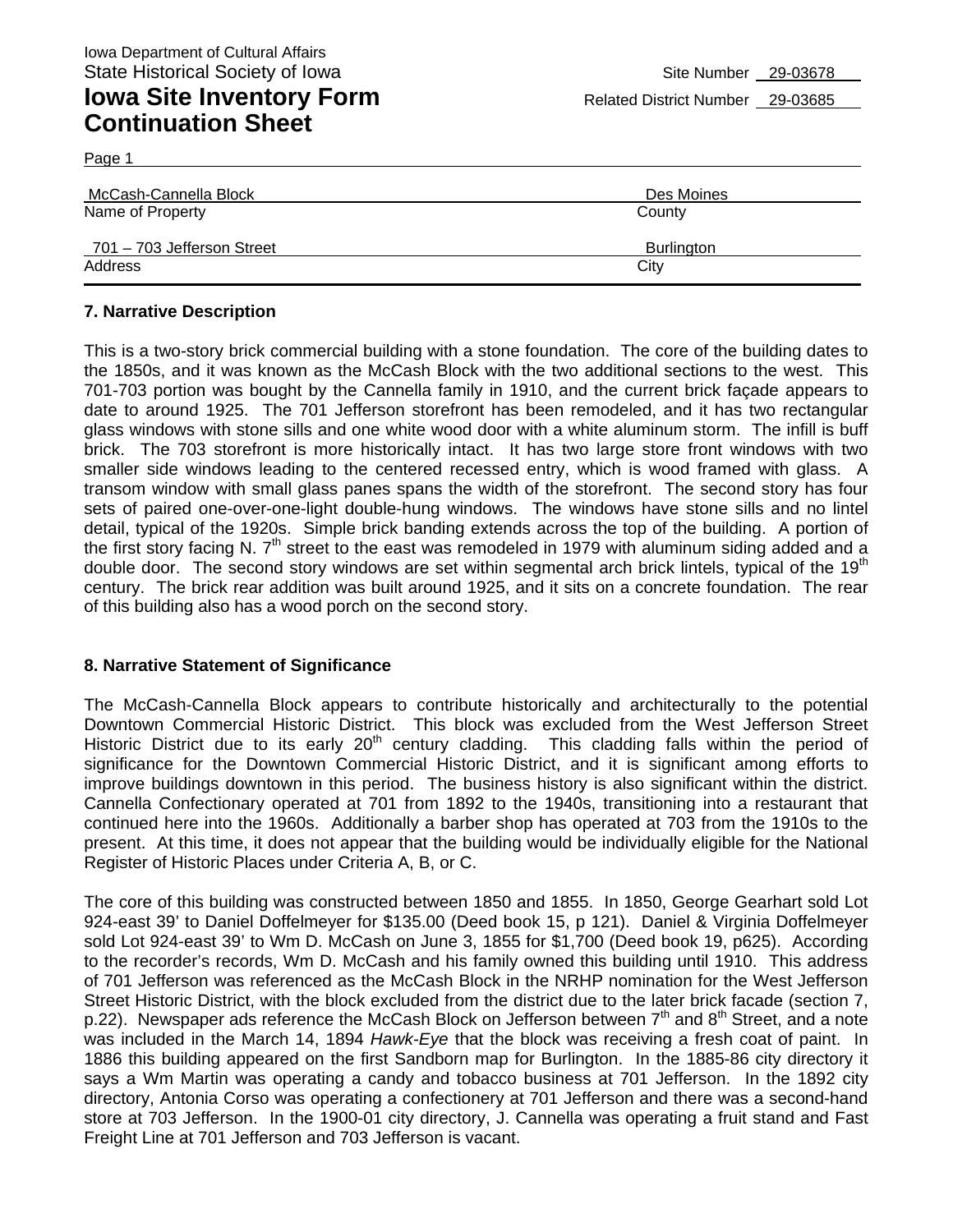Page 1

| McCash-Cannella Block      | Des Moines |
|----------------------------|------------|
| Name of Property           | County     |
| 701 - 703 Jefferson Street | Burlington |
| Address                    | City       |

#### **7. Narrative Description**

This is a two-story brick commercial building with a stone foundation. The core of the building dates to the 1850s, and it was known as the McCash Block with the two additional sections to the west. This 701-703 portion was bought by the Cannella family in 1910, and the current brick façade appears to date to around 1925. The 701 Jefferson storefront has been remodeled, and it has two rectangular glass windows with stone sills and one white wood door with a white aluminum storm. The infill is buff brick. The 703 storefront is more historically intact. It has two large store front windows with two smaller side windows leading to the centered recessed entry, which is wood framed with glass. A transom window with small glass panes spans the width of the storefront. The second story has four sets of paired one-over-one-light double-hung windows. The windows have stone sills and no lintel detail, typical of the 1920s. Simple brick banding extends across the top of the building. A portion of the first story facing N.  $7<sup>th</sup>$  street to the east was remodeled in 1979 with aluminum siding added and a double door. The second story windows are set within segmental arch brick lintels, typical of the 19<sup>th</sup> century. The brick rear addition was built around 1925, and it sits on a concrete foundation. The rear of this building also has a wood porch on the second story.

#### **8. Narrative Statement of Significance**

The McCash-Cannella Block appears to contribute historically and architecturally to the potential Downtown Commercial Historic District. This block was excluded from the West Jefferson Street Historic District due to its early 20<sup>th</sup> century cladding. This cladding falls within the period of significance for the Downtown Commercial Historic District, and it is significant among efforts to improve buildings downtown in this period. The business history is also significant within the district. Cannella Confectionary operated at 701 from 1892 to the 1940s, transitioning into a restaurant that continued here into the 1960s. Additionally a barber shop has operated at 703 from the 1910s to the present. At this time, it does not appear that the building would be individually eligible for the National Register of Historic Places under Criteria A, B, or C.

The core of this building was constructed between 1850 and 1855. In 1850, George Gearhart sold Lot 924-east 39' to Daniel Doffelmeyer for \$135.00 (Deed book 15, p 121). Daniel & Virginia Doffelmeyer sold Lot 924-east 39' to Wm D. McCash on June 3, 1855 for \$1,700 (Deed book 19, p625). According to the recorder's records, Wm D. McCash and his family owned this building until 1910. This address of 701 Jefferson was referenced as the McCash Block in the NRHP nomination for the West Jefferson Street Historic District, with the block excluded from the district due to the later brick facade (section 7, p.22). Newspaper ads reference the McCash Block on Jefferson between  $7<sup>th</sup>$  and  $8<sup>th</sup>$  Street, and a note was included in the March 14, 1894 *Hawk-Eye* that the block was receiving a fresh coat of paint. In 1886 this building appeared on the first Sandborn map for Burlington. In the 1885-86 city directory it says a Wm Martin was operating a candy and tobacco business at 701 Jefferson. In the 1892 city directory, Antonia Corso was operating a confectionery at 701 Jefferson and there was a second-hand store at 703 Jefferson. In the 1900-01 city directory, J. Cannella was operating a fruit stand and Fast Freight Line at 701 Jefferson and 703 Jefferson is vacant.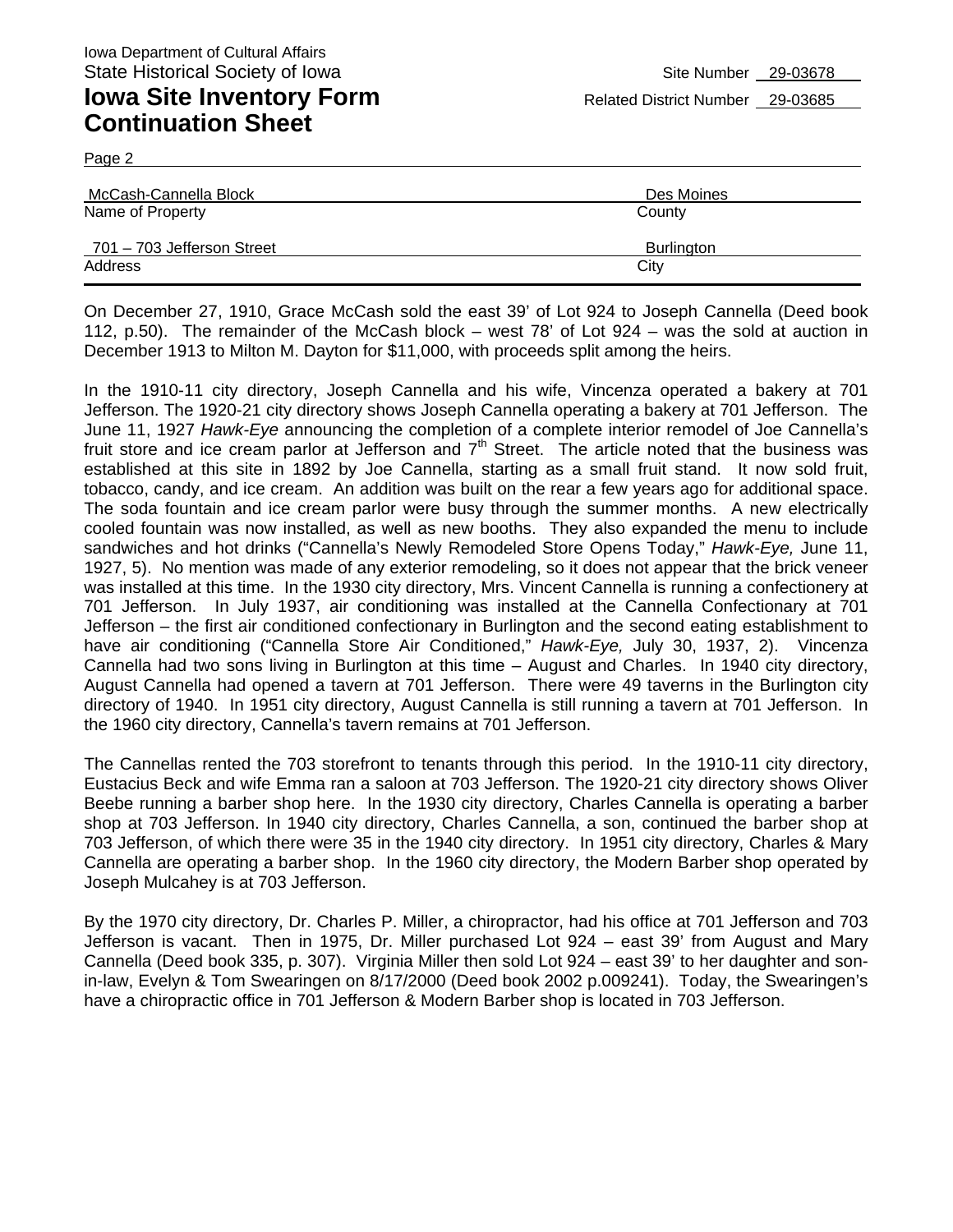Page 2

| McCash-Cannella Block      | Des Moines |
|----------------------------|------------|
| Name of Property           | County     |
| 701 – 703 Jefferson Street | Burlington |
| Address                    | City       |

On December 27, 1910, Grace McCash sold the east 39' of Lot 924 to Joseph Cannella (Deed book 112, p.50). The remainder of the McCash block – west 78' of Lot 924 – was the sold at auction in December 1913 to Milton M. Dayton for \$11,000, with proceeds split among the heirs.

In the 1910-11 city directory, Joseph Cannella and his wife, Vincenza operated a bakery at 701 Jefferson. The 1920-21 city directory shows Joseph Cannella operating a bakery at 701 Jefferson. The June 11, 1927 *Hawk-Eye* announcing the completion of a complete interior remodel of Joe Cannella's fruit store and ice cream parlor at Jefferson and  $7<sup>th</sup>$  Street. The article noted that the business was established at this site in 1892 by Joe Cannella, starting as a small fruit stand. It now sold fruit, tobacco, candy, and ice cream. An addition was built on the rear a few years ago for additional space. The soda fountain and ice cream parlor were busy through the summer months. A new electrically cooled fountain was now installed, as well as new booths. They also expanded the menu to include sandwiches and hot drinks ("Cannella's Newly Remodeled Store Opens Today," *Hawk-Eye,* June 11, 1927, 5). No mention was made of any exterior remodeling, so it does not appear that the brick veneer was installed at this time. In the 1930 city directory, Mrs. Vincent Cannella is running a confectionery at 701 Jefferson. In July 1937, air conditioning was installed at the Cannella Confectionary at 701 Jefferson – the first air conditioned confectionary in Burlington and the second eating establishment to have air conditioning ("Cannella Store Air Conditioned," *Hawk-Eye,* July 30, 1937, 2). Vincenza Cannella had two sons living in Burlington at this time – August and Charles. In 1940 city directory, August Cannella had opened a tavern at 701 Jefferson. There were 49 taverns in the Burlington city directory of 1940. In 1951 city directory, August Cannella is still running a tavern at 701 Jefferson. In the 1960 city directory, Cannella's tavern remains at 701 Jefferson.

The Cannellas rented the 703 storefront to tenants through this period. In the 1910-11 city directory, Eustacius Beck and wife Emma ran a saloon at 703 Jefferson. The 1920-21 city directory shows Oliver Beebe running a barber shop here. In the 1930 city directory, Charles Cannella is operating a barber shop at 703 Jefferson. In 1940 city directory, Charles Cannella, a son, continued the barber shop at 703 Jefferson, of which there were 35 in the 1940 city directory. In 1951 city directory, Charles & Mary Cannella are operating a barber shop. In the 1960 city directory, the Modern Barber shop operated by Joseph Mulcahey is at 703 Jefferson.

By the 1970 city directory, Dr. Charles P. Miller, a chiropractor, had his office at 701 Jefferson and 703 Jefferson is vacant. Then in 1975, Dr. Miller purchased Lot 924 – east 39' from August and Mary Cannella (Deed book 335, p. 307). Virginia Miller then sold Lot 924 – east 39' to her daughter and sonin-law, Evelyn & Tom Swearingen on 8/17/2000 (Deed book 2002 p.009241). Today, the Swearingen's have a chiropractic office in 701 Jefferson & Modern Barber shop is located in 703 Jefferson.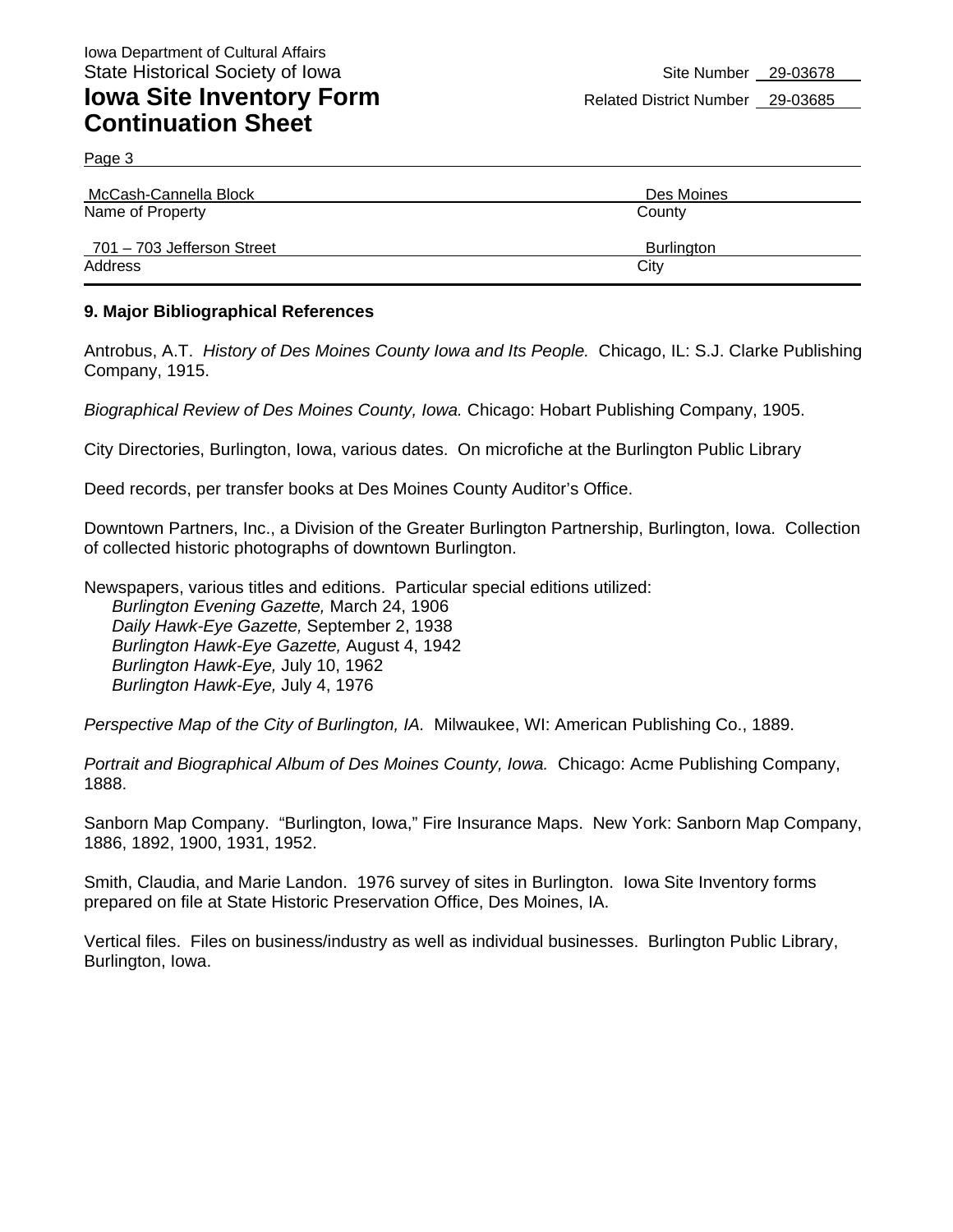Page 3

| McCash-Cannella Block      | Des Moines |
|----------------------------|------------|
| Name of Property           | County     |
| 701 – 703 Jefferson Street | Burlington |
| Address                    | City       |

#### **9. Major Bibliographical References**

Antrobus, A.T. *History of Des Moines County Iowa and Its People.* Chicago, IL: S.J. Clarke Publishing Company, 1915.

*Biographical Review of Des Moines County, Iowa.* Chicago: Hobart Publishing Company, 1905.

City Directories, Burlington, Iowa, various dates. On microfiche at the Burlington Public Library

Deed records, per transfer books at Des Moines County Auditor's Office.

Downtown Partners, Inc., a Division of the Greater Burlington Partnership, Burlington, Iowa. Collection of collected historic photographs of downtown Burlington.

Newspapers, various titles and editions. Particular special editions utilized: *Burlington Evening Gazette,* March 24, 1906 *Daily Hawk-Eye Gazette,* September 2, 1938 *Burlington Hawk-Eye Gazette,* August 4, 1942 *Burlington Hawk-Eye,* July 10, 1962 *Burlington Hawk-Eye,* July 4, 1976

*Perspective Map of the City of Burlington, IA.* Milwaukee, WI: American Publishing Co., 1889.

*Portrait and Biographical Album of Des Moines County, Iowa.* Chicago: Acme Publishing Company, 1888.

Sanborn Map Company. "Burlington, Iowa," Fire Insurance Maps. New York: Sanborn Map Company, 1886, 1892, 1900, 1931, 1952.

Smith, Claudia, and Marie Landon. 1976 survey of sites in Burlington. Iowa Site Inventory forms prepared on file at State Historic Preservation Office, Des Moines, IA.

Vertical files. Files on business/industry as well as individual businesses. Burlington Public Library, Burlington, Iowa.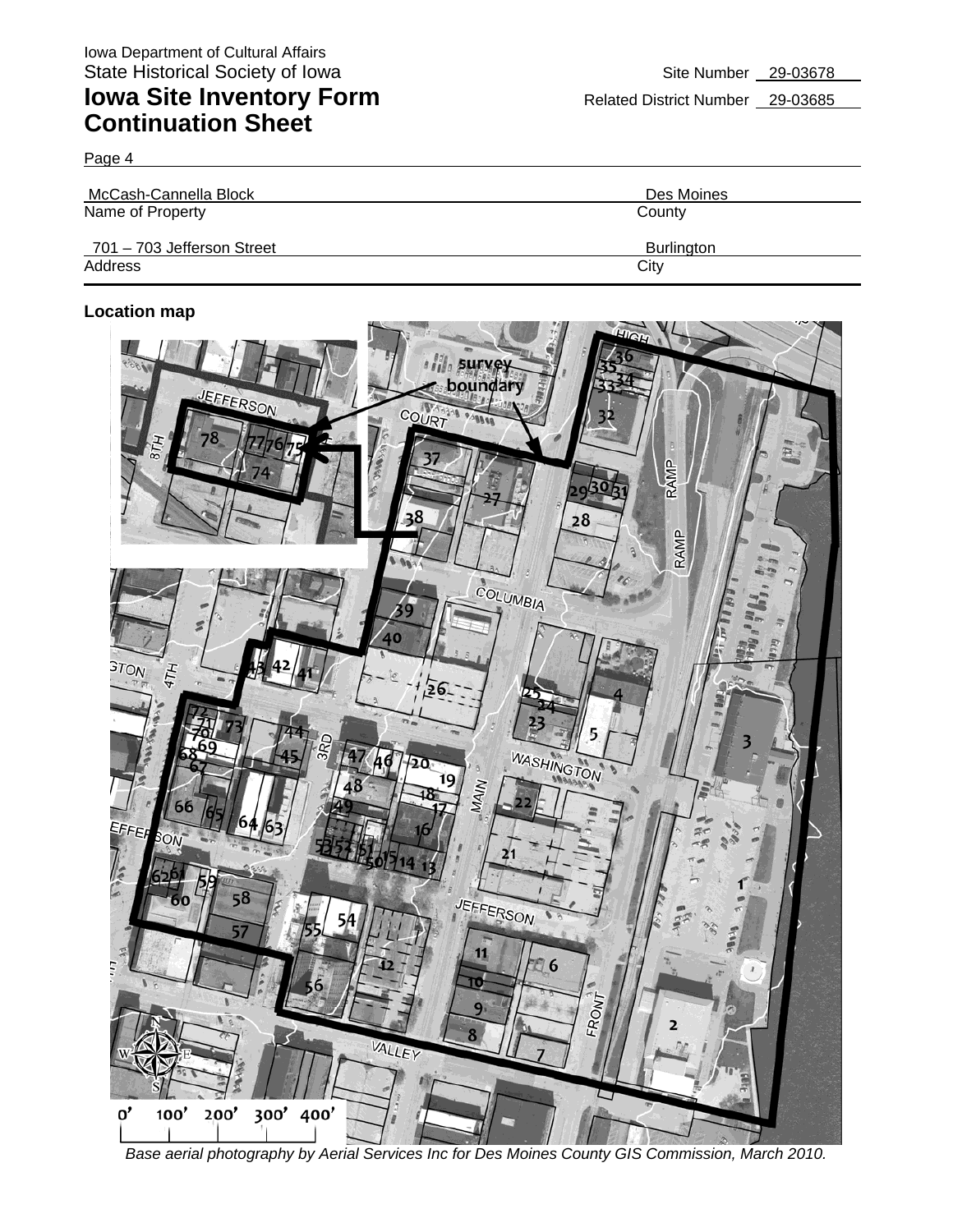Page 4

| McCash-Cannella Block      | Des Moines |
|----------------------------|------------|
| Name of Property           | County     |
| 701 - 703 Jefferson Street | Burlington |
| Address                    | City       |

#### **Location map**



*Base aerial photography by Aerial Services Inc for Des Moines County GIS Commission, March 2010.*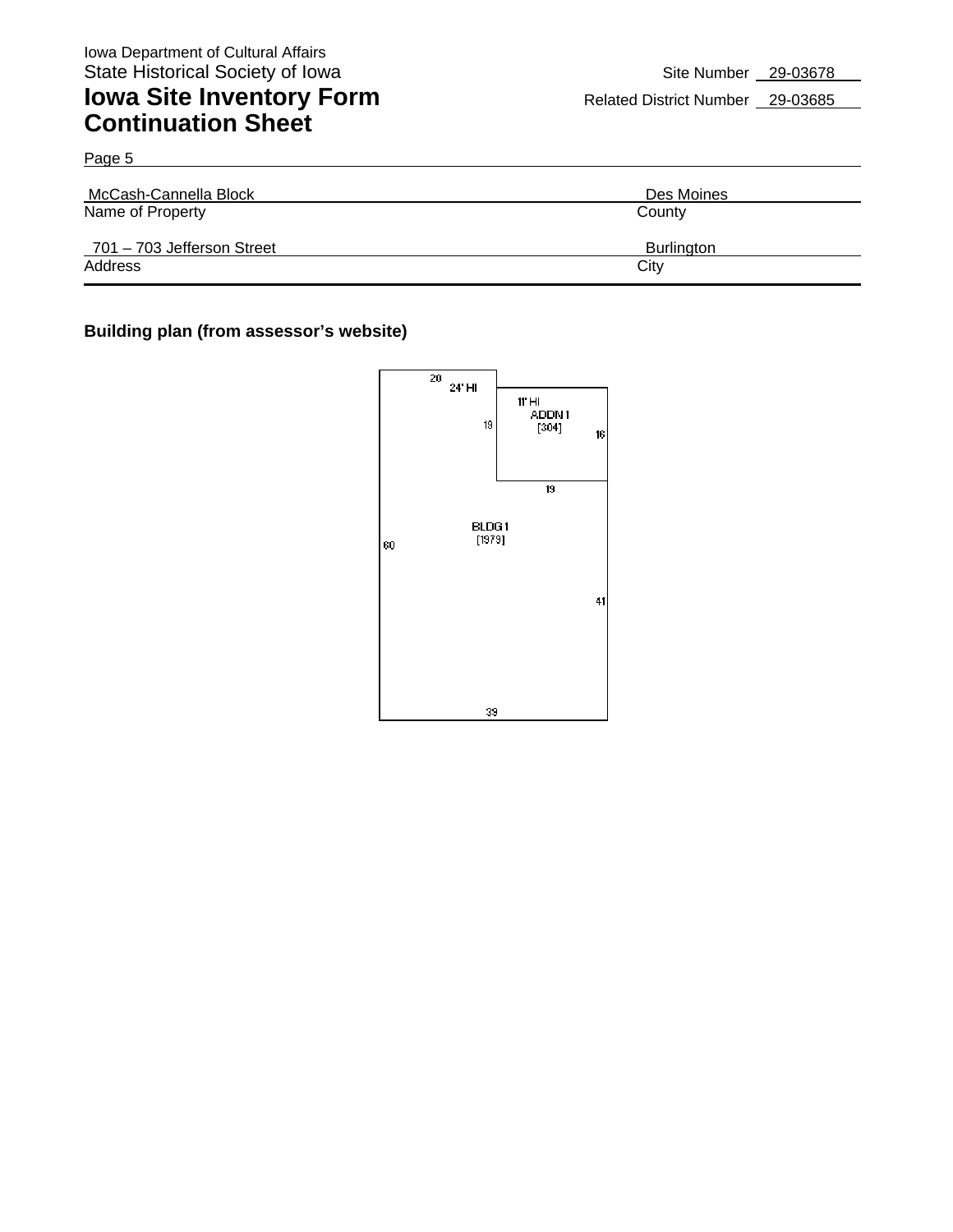Page 5

## **Iowa Site Inventory Form** Related District Number 29-03685 **Continuation Sheet**

| McCash-Cannella Block                          | Des Moines           |
|------------------------------------------------|----------------------|
| Name of Property<br>701 - 703 Jefferson Street | County<br>Burlington |
| Address                                        | City                 |

#### **Building plan (from assessor's website)**

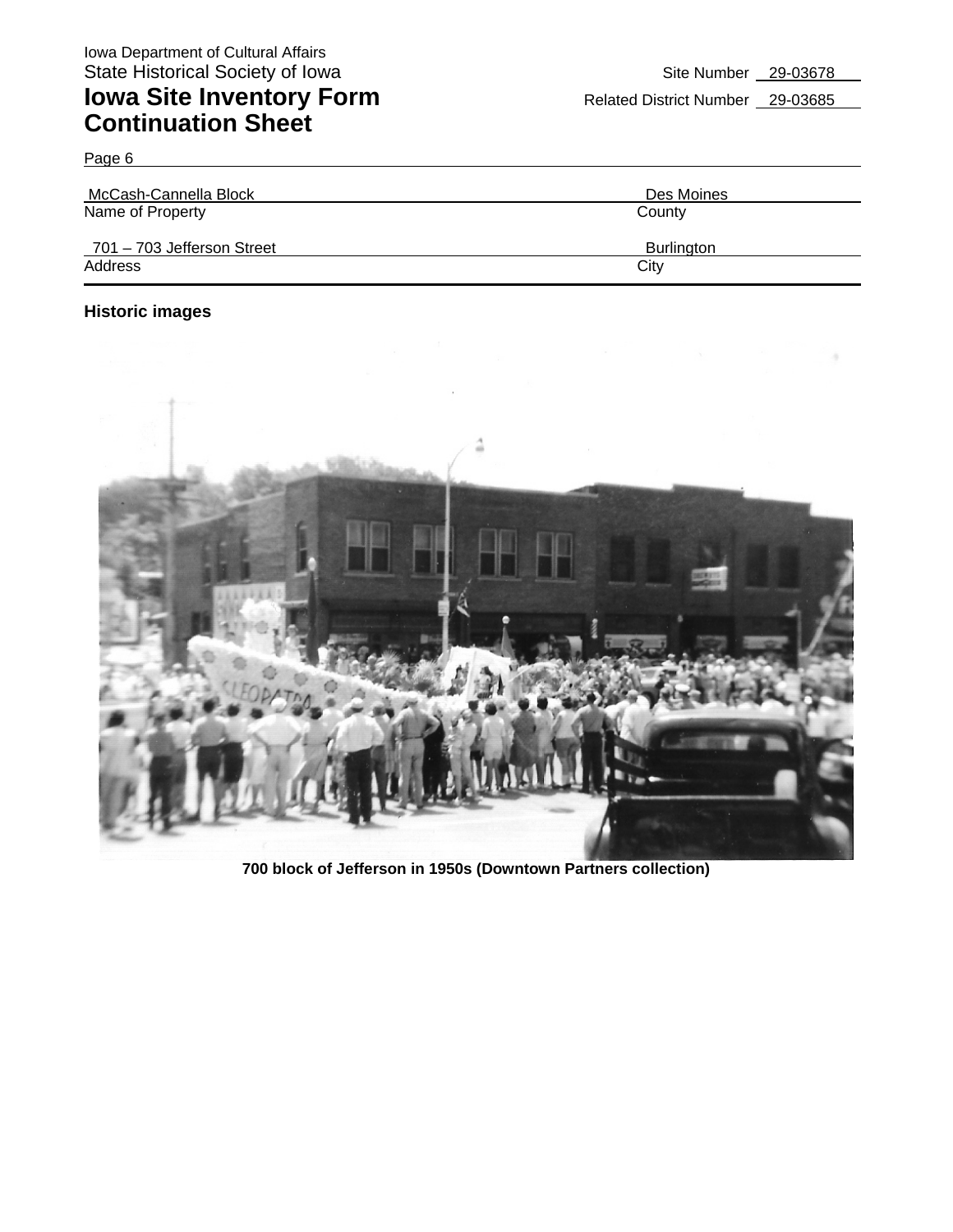| McCash-Cannella Block      | Des Moines        |
|----------------------------|-------------------|
| Name of Property           | County            |
| 701 - 703 Jefferson Street | <b>Burlington</b> |
| Address                    | City              |

#### **Historic images**

Page 6



**700 block of Jefferson in 1950s (Downtown Partners collection)**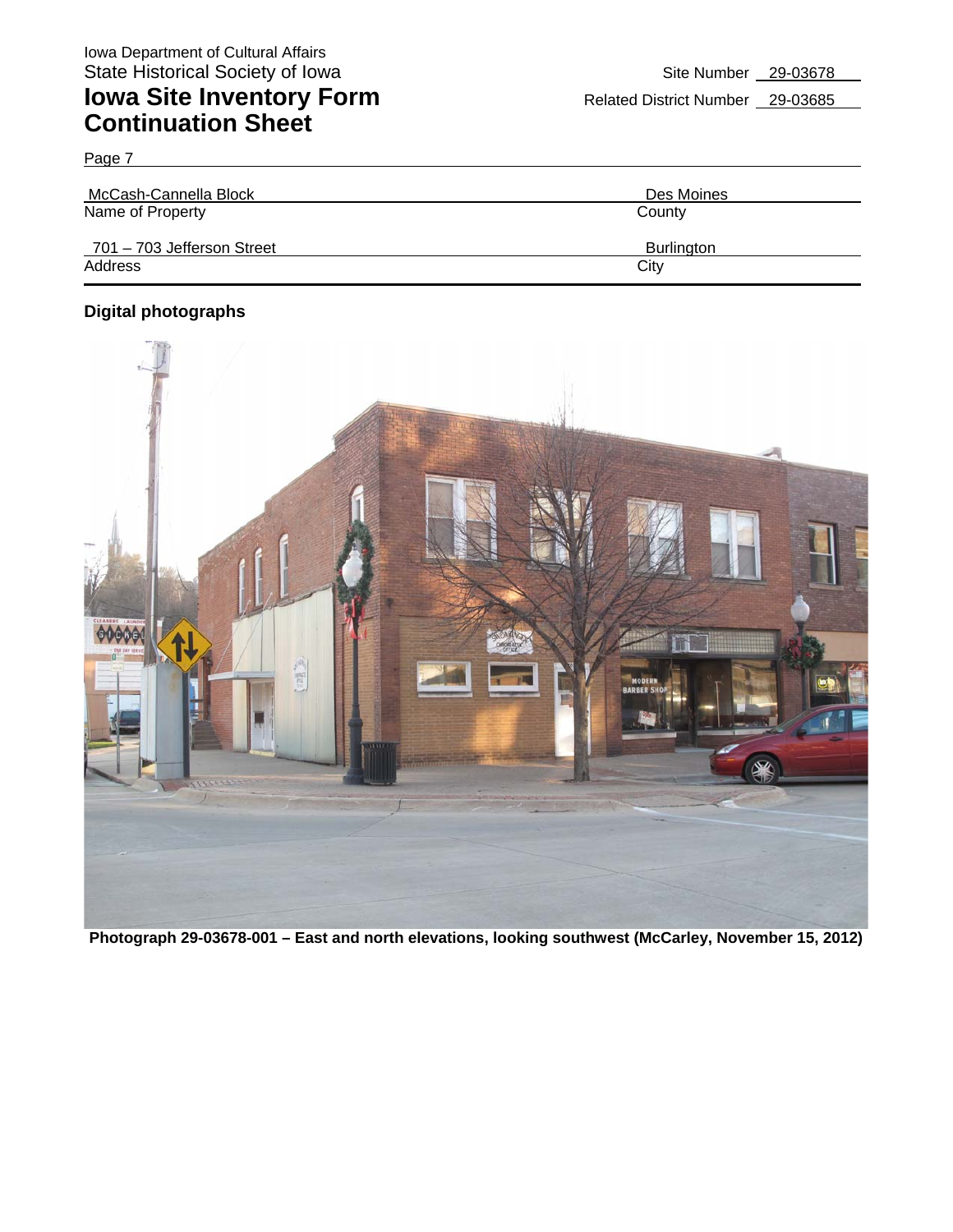| McCash-Cannella Block      | Des Moines        |
|----------------------------|-------------------|
| Name of Property           | County            |
| 701 - 703 Jefferson Street | <b>Burlington</b> |
| Address                    | City              |

#### **Digital photographs**

Page 7



**Photograph 29-03678-001 – East and north elevations, looking southwest (McCarley, November 15, 2012)**